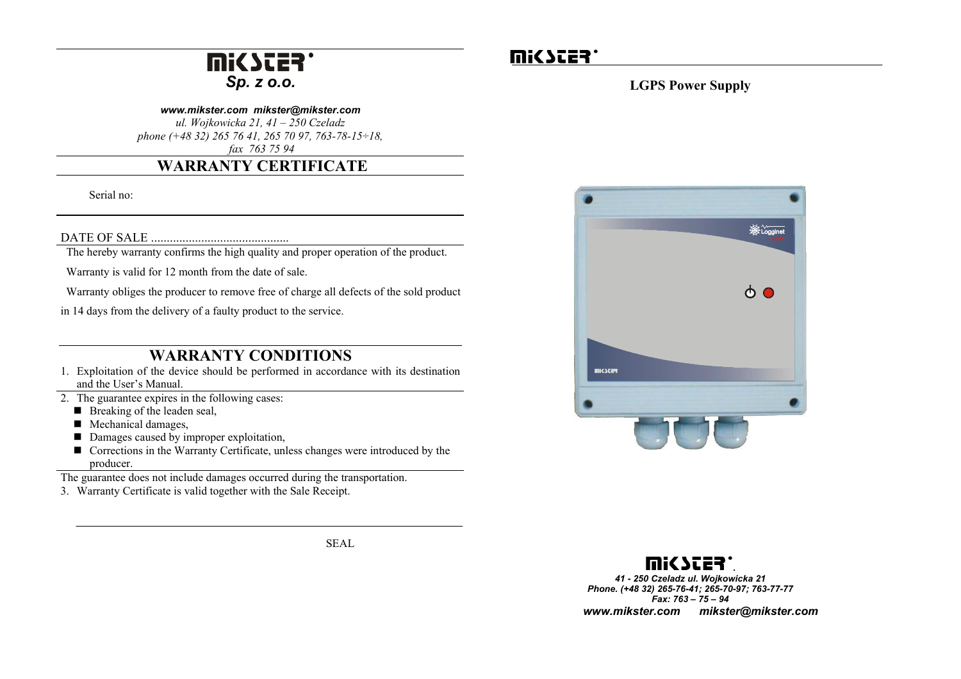# R *Sp. z o.o.*

#### *www.mikster.com mikster@mikster.com*

*ul. Wojkowicka 21, 41 – 250 Czeladz phone (+48 32) 265 76 41, 265 70 97, 763-78-15÷18, fax 763 75 94*

## **WARRANTY CERTIFICATE**

Serial no:

DATE OF SALE ............................................ The hereby warranty confirms the high quality and proper operation of the product.

Warranty is valid for 12 month from the date of sale.

Warranty obliges the producer to remove free of charge all defects of the sold product

in 14 days from the delivery of a faulty product to the service.

## **WARRANTY CONDITIONS**

- 1. Exploitation of the device should be performed in accordance with its destination and the User's Manual.
- 2. The guarantee expires in the following cases:
	- $\blacksquare$  Breaking of the leaden seal,
	- Mechanical damages,
	- Damages caused by improper exploitation,
	- Corrections in the Warranty Certificate, unless changes were introduced by the producer.

The guarantee does not include damages occurred during the transportation.

3. Warranty Certificate is valid together with the Sale Receipt.

SEAL

# **U!C 2553.**

### **LGPS Power Supply**





 *41 - 250 Czeladz ul. Wojkowicka 21 Phone. (+48 32) 265-76-41; 265-70-97; 763-77-77 Fax: 763 – 75 – 94 www.mikster.com mikster@mikster.com*